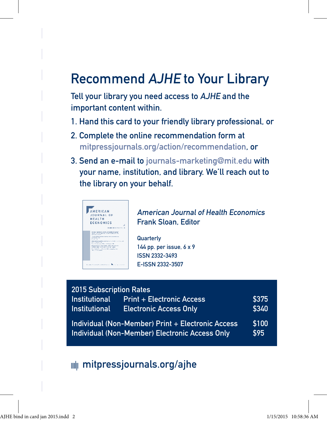## Recommend AJHE to Your Library

Tell your library you need access to AJHE and the important content within.

- 1. Hand this card to your friendly library professional, or
- 2. Complete the online recommendation form at mitpressjournals.org/action/recommendation, or
- 3. Send an e-mail to journals-marketing@mit.edu with your name, institution, and library. We'll reach out to the library on your behalf.



American Journal of Health Economics Frank Sloan, Editor

**Quarterly** 144 pp. per issue, 6 x 9 ISSN 2332-3493 E-ISSN 2332-3507

| 2015 Subscription Rates                                                                             |                                  |               |
|-----------------------------------------------------------------------------------------------------|----------------------------------|---------------|
| Institutional                                                                                       | <b>Print + Electronic Access</b> | \$375         |
| <b>Institutional</b>                                                                                | <b>Electronic Access Only</b>    | \$340         |
| Individual (Non-Member) Print + Electronic Access<br>Individual (Non-Member) Electronic Access Only |                                  | \$100<br>\$95 |

## **mitpressjournals.org/ajhe**